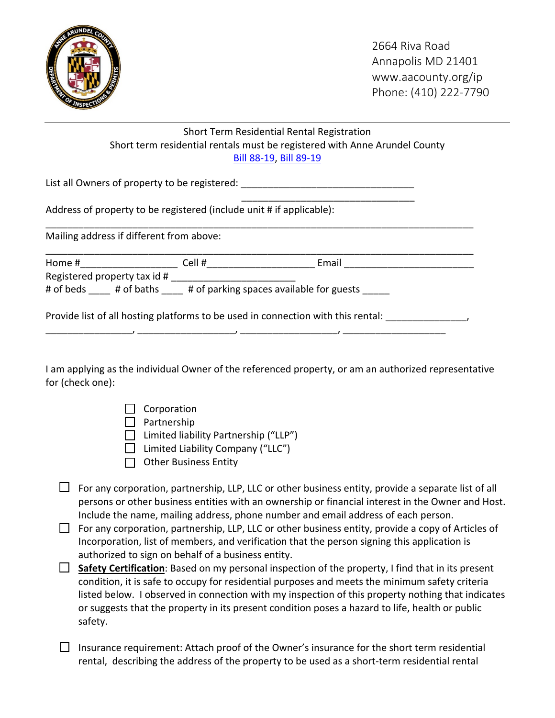

## Short Term Residential Rental Registration Short term residential rentals must be registered with Anne Arundel County [Bill 88-19](https://www.aacounty.org/departments/county-council/legislation/bills-and-resolutions/88-192.pdf), [Bill 89-19](https://www.aacounty.org/departments/county-council/legislation/bills-and-resolutions/89-193.pdf)

\_\_\_\_\_\_\_\_\_\_\_\_\_\_\_\_\_\_\_\_\_\_\_\_\_\_\_\_\_\_\_\_

List all Owners of property to be registered:

Address of property to be registered (include unit # if applicable):

Mailing address if different from above:

| Home #                       | Cell # | Email |  |
|------------------------------|--------|-------|--|
| Registered property tax id # |        |       |  |
| $\sim$ at the set of $\sim$  | .      |       |  |

\_\_\_\_\_\_\_\_\_\_\_\_\_\_\_\_\_\_\_\_\_\_\_\_\_\_\_\_\_\_\_\_\_\_\_\_\_\_\_\_\_\_\_\_\_\_\_\_\_\_\_\_\_\_\_\_\_\_\_\_\_\_\_\_\_\_\_\_\_\_\_\_\_\_\_\_\_\_\_

# of beds \_\_\_\_\_ # of baths \_\_\_\_\_ # of parking spaces available for guests \_\_\_\_\_

Provide list of all hosting platforms to be used in connection with this rental: \_\_\_\_\_\_\_\_\_\_\_\_\_\_,

\_\_\_\_\_\_\_\_\_\_\_\_\_\_\_\_, \_\_\_\_\_\_\_\_\_\_\_\_\_\_\_\_\_\_, \_\_\_\_\_\_\_\_\_\_\_\_\_\_\_\_\_\_, \_\_\_\_\_\_\_\_\_\_\_\_\_\_\_\_\_\_\_

I am applying as the individual Owner of the referenced property, or am an authorized representative for (check one):

| Corporation |
|-------------|
|-------------|

 $\Box$  Partnership

 $\Box$  Limited liability Partnership ("LLP")

 $\Box$  Limited Liability Company ("LLC")

 $\Box$  Other Business Entity

- $\Box$  For any corporation, partnership, LLP, LLC or other business entity, provide a separate list of all persons or other business entities with an ownership or financial interest in the Owner and Host. Include the name, mailing address, phone number and email address of each person.
- $\Box$  For any corporation, partnership, LLP, LLC or other business entity, provide a copy of Articles of Incorporation, list of members, and verification that the person signing this application is authorized to sign on behalf of a business entity.
- □ **Safety Certification**: Based on my personal inspection of the property, I find that in its present condition, it is safe to occupy for residential purposes and meets the minimum safety criteria listed below. I observed in connection with my inspection of this property nothing that indicates or suggests that the property in its present condition poses a hazard to life, health or public safety.

 $\Box$  Insurance requirement: Attach proof of the Owner's insurance for the short term residential rental, describing the address of the property to be used as a short-term residential rental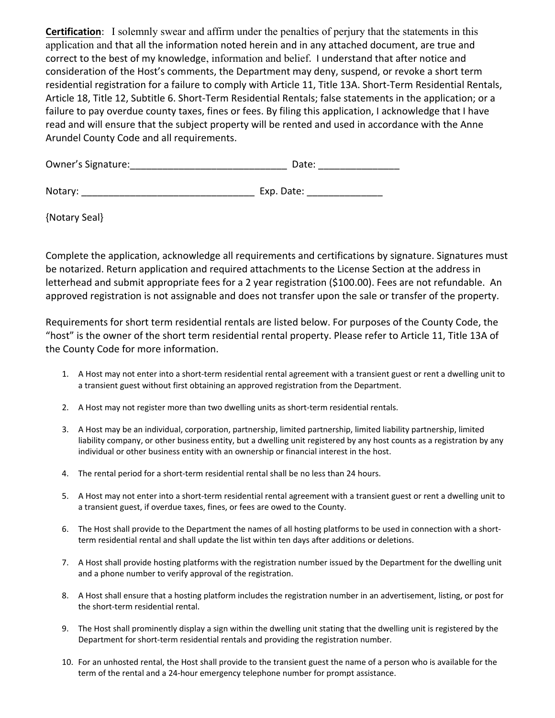**Certification**: I solemnly swear and affirm under the penalties of perjury that the statements in this application and that all the information noted herein and in any attached document, are true and correct to the best of my knowledge, information and belief. I understand that after notice and consideration of the Host's comments, the Department may deny, suspend, or revoke a short term residential registration for a failure to comply with Article 11, Title 13A. Short-Term Residential Rentals, Article 18, Title 12, Subtitle 6. Short-Term Residential Rentals; false statements in the application; or a failure to pay overdue county taxes, fines or fees. By filing this application, I acknowledge that I have read and will ensure that the subject property will be rented and used in accordance with the Anne Arundel County Code and all requirements.

| Owner's Signature: | Date: |
|--------------------|-------|
|                    |       |

| Notary: | Exp. Date: |
|---------|------------|
|         |            |

{Notary Seal}

Complete the application, acknowledge all requirements and certifications by signature. Signatures must be notarized. Return application and required attachments to the License Section at the address in letterhead and submit appropriate fees for a 2 year registration (\$100.00). Fees are not refundable. An approved registration is not assignable and does not transfer upon the sale or transfer of the property.

Requirements for short term residential rentals are listed below. For purposes of the County Code, the "host" is the owner of the short term residential rental property. Please refer to Article 11, Title 13A of the County Code for more information.

- 1. A Host may not enter into a short-term residential rental agreement with a transient guest or rent a dwelling unit to a transient guest without first obtaining an approved registration from the Department.
- 2. A Host may not register more than two dwelling units as short-term residential rentals.
- 3. A Host may be an individual, corporation, partnership, limited partnership, limited liability partnership, limited liability company, or other business entity, but a dwelling unit registered by any host counts as a registration by any individual or other business entity with an ownership or financial interest in the host.
- 4. The rental period for a short-term residential rental shall be no less than 24 hours.
- 5. A Host may not enter into a short-term residential rental agreement with a transient guest or rent a dwelling unit to a transient guest, if overdue taxes, fines, or fees are owed to the County.
- 6. The Host shall provide to the Department the names of all hosting platforms to be used in connection with a shortterm residential rental and shall update the list within ten days after additions or deletions.
- 7. A Host shall provide hosting platforms with the registration number issued by the Department for the dwelling unit and a phone number to verify approval of the registration.
- 8. A Host shall ensure that a hosting platform includes the registration number in an advertisement, listing, or post for the short-term residential rental.
- 9. The Host shall prominently display a sign within the dwelling unit stating that the dwelling unit is registered by the Department for short-term residential rentals and providing the registration number.
- 10. For an unhosted rental, the Host shall provide to the transient guest the name of a person who is available for the term of the rental and a 24-hour emergency telephone number for prompt assistance.